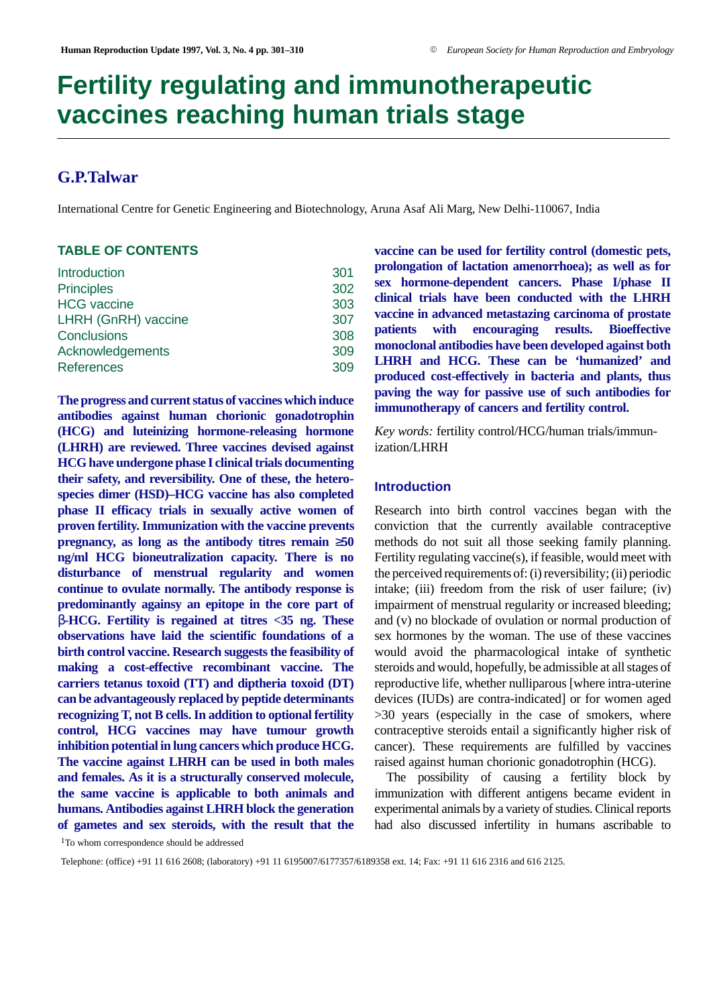# **Fertility regulating and immunotherapeutic vaccines reaching human trials stage**

# **G.P.Talwar**

International Centre for Genetic Engineering and Biotechnology, Aruna Asaf Ali Marg, New Delhi-110067, India

# **TABLE OF CONTENTS**

| 301 |
|-----|
| 302 |
| 303 |
| 307 |
| 308 |
| 309 |
| 309 |
|     |

**The progress and current status of vaccines which induce antibodies against human chorionic gonadotrophin (HCG) and luteinizing hormone-releasing hormone (LHRH) are reviewed. Three vaccines devised against HCG have undergone phase I clinical trials documenting their safety, and reversibility. One of these, the heterospecies dimer (HSD)–HCG vaccine has also completed phase II efficacy trials in sexually active women of proven fertility. Immunization with the vaccine prevents pregnancy, as long as the antibody titres remain** ≥**50 ng/ml HCG bioneutralization capacity. There is no disturbance of menstrual regularity and women continue to ovulate normally. The antibody response is predominantly againsy an epitope in the core part of** β**-HCG. Fertility is regained at titres <35 ng. These observations have laid the scientific foundations of a birth control vaccine. Research suggests the feasibility of making a cost-effective recombinant vaccine. The carriers tetanus toxoid (TT) and diptheria toxoid (DT) can be advantageously replaced by peptide determinants recognizing T, not B cells. In addition to optional fertility control, HCG vaccines may have tumour growth inhibition potential in lung cancers which produce HCG. The vaccine against LHRH can be used in both males and females. As it is a structurally conserved molecule, the same vaccine is applicable to both animals and humans. Antibodies against LHRH block the generation of gametes and sex steroids, with the result that the**

**vaccine can be used for fertility control (domestic pets, prolongation of lactation amenorrhoea); as well as for sex hormone-dependent cancers. Phase I/phase II clinical trials have been conducted with the LHRH vaccine in advanced metastazing carcinoma of prostate patients with encouraging results. Bioeffective monoclonal antibodies have been developed against both LHRH and HCG. These can be 'humanized' and produced cost-effectively in bacteria and plants, thus paving the way for passive use of such antibodies for immunotherapy of cancers and fertility control.**

*Key words:* fertility control/HCG/human trials/immunization/LHRH

#### **Introduction**

Research into birth control vaccines began with the conviction that the currently available contraceptive methods do not suit all those seeking family planning. Fertility regulating vaccine(s), if feasible, would meet with the perceived requirements of: (i) reversibility; (ii) periodic intake; (iii) freedom from the risk of user failure; (iv) impairment of menstrual regularity or increased bleeding; and (v) no blockade of ovulation or normal production of sex hormones by the woman. The use of these vaccines would avoid the pharmacological intake of synthetic steroids and would, hopefully, be admissible at all stages of reproductive life, whether nulliparous [where intra-uterine devices (IUDs) are contra-indicated] or for women aged >30 years (especially in the case of smokers, where contraceptive steroids entail a significantly higher risk of cancer). These requirements are fulfilled by vaccines raised against human chorionic gonadotrophin (HCG).

The possibility of causing a fertility block by immunization with different antigens became evident in experimental animals by a variety of studies. Clinical reports had also discussed infertility in humans ascribable to

<sup>1</sup>To whom correspondence should be addressed

Telephone: (office) +91 11 616 2608; (laboratory) +91 11 6195007/6177357/6189358 ext. 14; Fax: +91 11 616 2316 and 616 2125.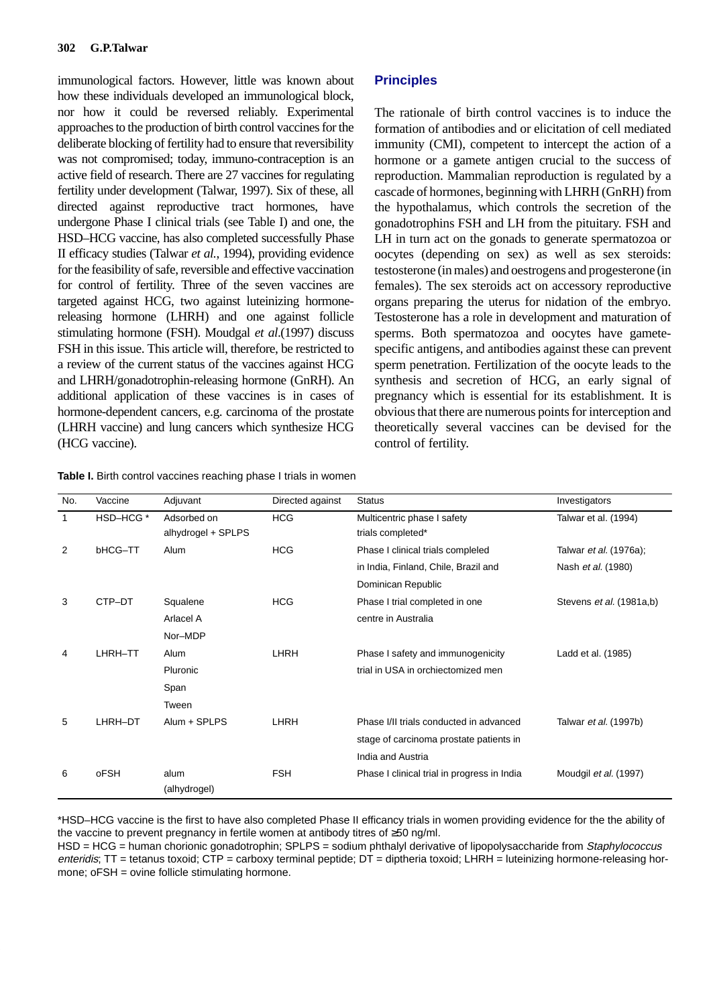immunological factors. However, little was known about how these individuals developed an immunological block, nor how it could be reversed reliably. Experimental approaches to the production of birth control vaccines for the deliberate blocking of fertility had to ensure that reversibility was not compromised; today, immuno-contraception is an active field of research. There are 27 vaccines for regulating fertility under development (Talwar, 1997). Six of these, all directed against reproductive tract hormones, have undergone Phase I clinical trials (see Table I) and one, the HSD–HCG vaccine, has also completed successfully Phase II efficacy studies (Talwar *et al.*, 1994), providing evidence for the feasibility of safe, reversible and effective vaccination for control of fertility. Three of the seven vaccines are targeted against HCG, two against luteinizing hormonereleasing hormone (LHRH) and one against follicle stimulating hormone (FSH). Moudgal *et al*.(1997) discuss FSH in this issue. This article will, therefore, be restricted to a review of the current status of the vaccines against HCG and LHRH/gonadotrophin-releasing hormone (GnRH). An additional application of these vaccines is in cases of hormone-dependent cancers, e.g. carcinoma of the prostate (LHRH vaccine) and lung cancers which synthesize HCG (HCG vaccine).

# **Principles**

The rationale of birth control vaccines is to induce the formation of antibodies and or elicitation of cell mediated immunity (CMI), competent to intercept the action of a hormone or a gamete antigen crucial to the success of reproduction. Mammalian reproduction is regulated by a cascade of hormones, beginning with LHRH (GnRH) from the hypothalamus, which controls the secretion of the gonadotrophins FSH and LH from the pituitary. FSH and LH in turn act on the gonads to generate spermatozoa or oocytes (depending on sex) as well as sex steroids: testosterone (in males) and oestrogens and progesterone (in females). The sex steroids act on accessory reproductive organs preparing the uterus for nidation of the embryo. Testosterone has a role in development and maturation of sperms. Both spermatozoa and oocytes have gametespecific antigens, and antibodies against these can prevent sperm penetration. Fertilization of the oocyte leads to the synthesis and secretion of HCG, an early signal of pregnancy which is essential for its establishment. It is obvious that there are numerous points for interception and theoretically several vaccines can be devised for the control of fertility.

| No. | Vaccine              | Adjuvant           | Directed against | <b>Status</b>                               | Investigators             |                                         |                       |
|-----|----------------------|--------------------|------------------|---------------------------------------------|---------------------------|-----------------------------------------|-----------------------|
| 1   | HSD-HCG <sup>*</sup> | Adsorbed on        | <b>HCG</b>       | Multicentric phase I safety                 | Talwar et al. (1994)      |                                         |                       |
|     |                      | alhydrogel + SPLPS |                  | trials completed*                           |                           |                                         |                       |
| 2   | bHCG-TT              | Alum               | <b>HCG</b>       | Phase I clinical trials compleled           | Talwar et al. (1976a);    |                                         |                       |
|     |                      |                    |                  | in India, Finland, Chile, Brazil and        | Nash <i>et al.</i> (1980) |                                         |                       |
|     |                      |                    |                  | Dominican Republic                          |                           |                                         |                       |
| 3   | CTP-DT               | Squalene           | <b>HCG</b>       | Phase I trial completed in one              | Stevens et al. (1981a,b)  |                                         |                       |
|     |                      |                    |                  | Arlacel A                                   |                           | centre in Australia                     |                       |
|     |                      | Nor-MDP            |                  |                                             |                           |                                         |                       |
| 4   | LHRH-TT              | Alum               | LHRH             | Phase I safety and immunogenicity           | Ladd et al. (1985)        |                                         |                       |
|     |                      |                    |                  | Pluronic                                    |                           | trial in USA in orchiectomized men      |                       |
|     |                      |                    |                  | Span                                        |                           |                                         |                       |
|     |                      | Tween              |                  |                                             |                           |                                         |                       |
| 5   |                      | LHRH-DT            | Alum + SPLPS     | LHRH                                        |                           | Phase I/II trials conducted in advanced | Talwar et al. (1997b) |
|     |                      |                    |                  | stage of carcinoma prostate patients in     |                           |                                         |                       |
|     |                      |                    |                  | India and Austria                           |                           |                                         |                       |
| 6   | oFSH                 | alum               | <b>FSH</b>       | Phase I clinical trial in progress in India | Moudgil et al. (1997)     |                                         |                       |
|     |                      | (alhydrogel)       |                  |                                             |                           |                                         |                       |

Table I. Birth control vaccines reaching phase I trials in women

\*HSD–HCG vaccine is the first to have also completed Phase II efficancy trials in women providing evidence for the the ability of the vaccine to prevent pregnancy in fertile women at antibody titres of ≥50 ng/ml.

HSD = HCG = human chorionic gonadotrophin; SPLPS = sodium phthalyl derivative of lipopolysaccharide from Staphylococcus enteridis; TT = tetanus toxoid; CTP = carboxy terminal peptide; DT = diptheria toxoid; LHRH = luteinizing hormone-releasing hormone; oFSH = ovine follicle stimulating hormone.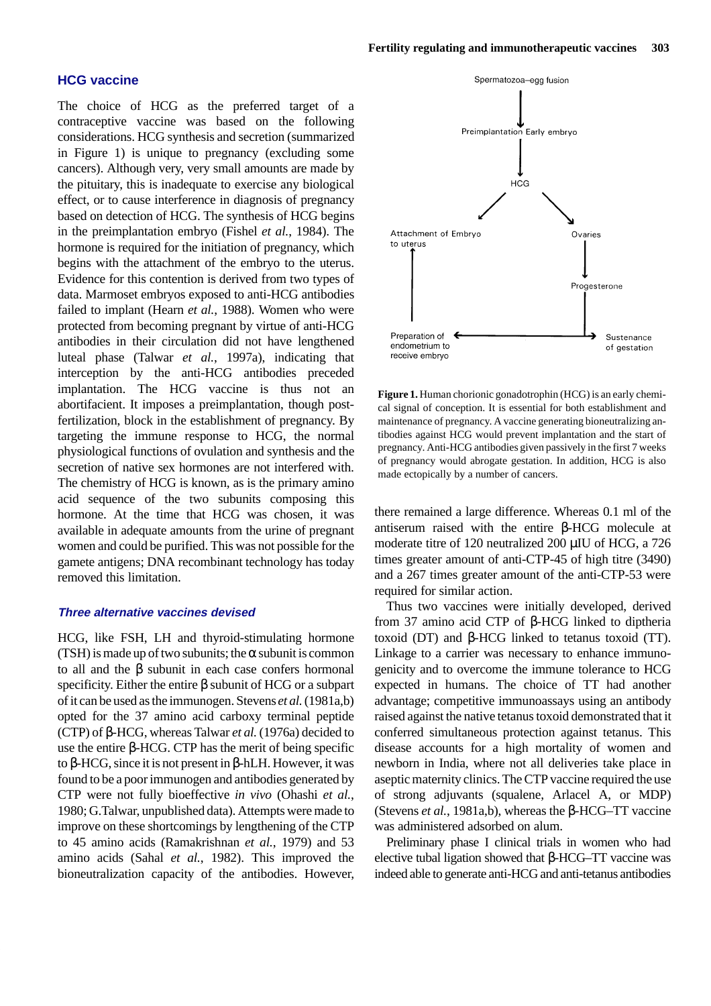#### **HCG vaccine**

The choice of HCG as the preferred target of a contraceptive vaccine was based on the following considerations. HCG synthesis and secretion (summarized in Figure 1) is unique to pregnancy (excluding some cancers). Although very, very small amounts are made by the pituitary, this is inadequate to exercise any biological effect, or to cause interference in diagnosis of pregnancy based on detection of HCG. The synthesis of HCG begins in the preimplantation embryo (Fishel *et al.*, 1984). The hormone is required for the initiation of pregnancy, which begins with the attachment of the embryo to the uterus. Evidence for this contention is derived from two types of data. Marmoset embryos exposed to anti-HCG antibodies failed to implant (Hearn *et al.*, 1988). Women who were protected from becoming pregnant by virtue of anti-HCG antibodies in their circulation did not have lengthened luteal phase (Talwar *et al.*, 1997a), indicating that interception by the anti-HCG antibodies preceded implantation. The HCG vaccine is thus not an abortifacient. It imposes a preimplantation, though postfertilization, block in the establishment of pregnancy. By targeting the immune response to HCG, the normal physiological functions of ovulation and synthesis and the secretion of native sex hormones are not interfered with. The chemistry of HCG is known, as is the primary amino acid sequence of the two subunits composing this hormone. At the time that HCG was chosen, it was available in adequate amounts from the urine of pregnant women and could be purified. This was not possible for the gamete antigens; DNA recombinant technology has today removed this limitation.

#### **Three alternative vaccines devised**

HCG, like FSH, LH and thyroid-stimulating hormone (TSH) is made up of two subunits; the  $\alpha$  subunit is common to all and the β subunit in each case confers hormonal specificity. Either the entire  $\beta$  subunit of HCG or a subpart of it can be used as the immunogen. Stevens *et al.* (1981a,b) opted for the 37 amino acid carboxy terminal peptide (CTP) of β-HCG, whereas Talwar *et al.* (1976a) decided to use the entire β-HCG. CTP has the merit of being specific to β-HCG, since it is not present in β-hLH. However, it was found to be a poor immunogen and antibodies generated by CTP were not fully bioeffective *in vivo* (Ohashi *et al.*, 1980; G.Talwar, unpublished data). Attempts were made to improve on these shortcomings by lengthening of the CTP to 45 amino acids (Ramakrishnan *et al.*, 1979) and 53 amino acids (Sahal *et al.*, 1982). This improved the bioneutralization capacity of the antibodies. However,



**Figure 1.** Human chorionic gonadotrophin (HCG) is an early chemical signal of conception. It is essential for both establishment and maintenance of pregnancy. A vaccine generating bioneutralizing antibodies against HCG would prevent implantation and the start of pregnancy. Anti-HCG antibodies given passively in the first 7 weeks of pregnancy would abrogate gestation. In addition, HCG is also made ectopically by a number of cancers.

there remained a large difference. Whereas 0.1 ml of the antiserum raised with the entire β-HCG molecule at moderate titre of 120 neutralized 200 µIU of HCG, a 726 times greater amount of anti-CTP-45 of high titre (3490) and a 267 times greater amount of the anti-CTP-53 were required for similar action.

Thus two vaccines were initially developed, derived from 37 amino acid CTP of β-HCG linked to diptheria toxoid (DT) and β-HCG linked to tetanus toxoid (TT). Linkage to a carrier was necessary to enhance immunogenicity and to overcome the immune tolerance to HCG expected in humans. The choice of TT had another advantage; competitive immunoassays using an antibody raised against the native tetanus toxoid demonstrated that it conferred simultaneous protection against tetanus. This disease accounts for a high mortality of women and newborn in India, where not all deliveries take place in aseptic maternity clinics. The CTP vaccine required the use of strong adjuvants (squalene, Arlacel A, or MDP) (Stevens *et al.*, 1981a,b), whereas the β-HCG–TT vaccine was administered adsorbed on alum.

Preliminary phase I clinical trials in women who had elective tubal ligation showed that β-HCG–TT vaccine was indeed able to generate anti-HCG and anti-tetanus antibodies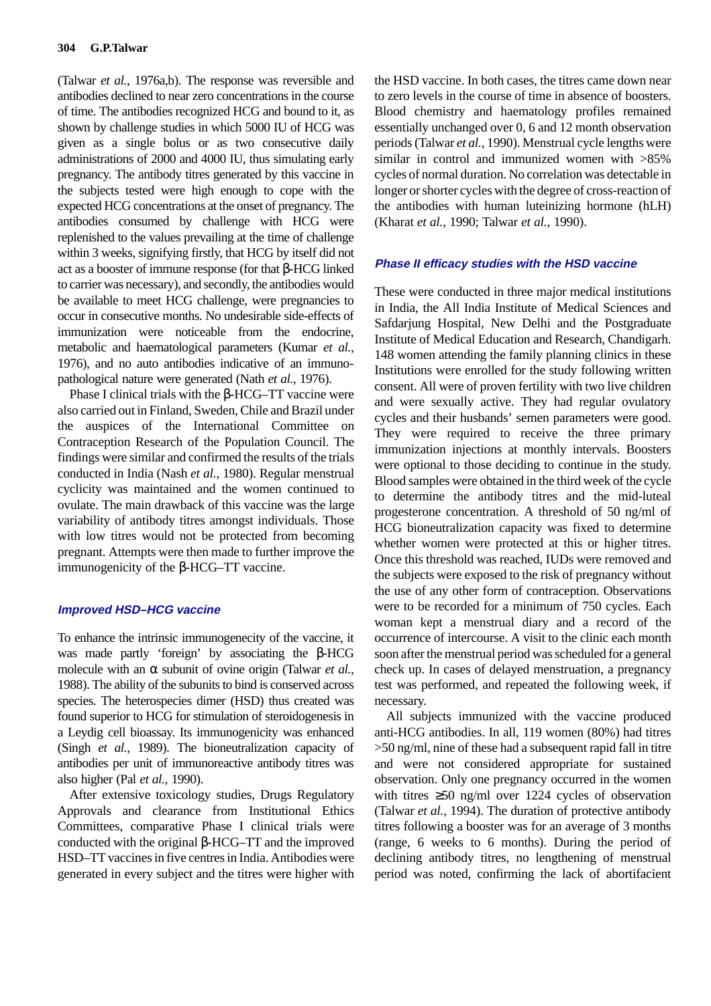(Talwar *et al.*, 1976a,b). The response was reversible and antibodies declined to near zero concentrations in the course of time. The antibodies recognized HCG and bound to it, as shown by challenge studies in which 5000 IU of HCG was given as a single bolus or as two consecutive daily administrations of 2000 and 4000 IU, thus simulating early pregnancy. The antibody titres generated by this vaccine in the subjects tested were high enough to cope with the expected HCG concentrations at the onset of pregnancy. The antibodies consumed by challenge with HCG were replenished to the values prevailing at the time of challenge within 3 weeks, signifying firstly, that HCG by itself did not act as a booster of immune response (for that β-HCG linked to carrier was necessary), and secondly, the antibodies would be available to meet HCG challenge, were pregnancies to occur in consecutive months. No undesirable side-effects of immunization were noticeable from the endocrine, metabolic and haematological parameters (Kumar *et al.*, 1976), and no auto antibodies indicative of an immunopathological nature were generated (Nath *et al.*, 1976).

Phase I clinical trials with the β-HCG–TT vaccine were also carried out in Finland, Sweden, Chile and Brazil under the auspices of the International Committee on Contraception Research of the Population Council. The findings were similar and confirmed the results of the trials conducted in India (Nash *et al.*, 1980). Regular menstrual cyclicity was maintained and the women continued to ovulate. The main drawback of this vaccine was the large variability of antibody titres amongst individuals. Those with low titres would not be protected from becoming pregnant. Attempts were then made to further improve the immunogenicity of the β-HCG–TT vaccine.

#### **Improved HSD–HCG vaccine**

To enhance the intrinsic immunogenecity of the vaccine, it was made partly 'foreign' by associating the β-HCG molecule with an  $\alpha$  subunit of ovine origin (Talwar *et al.*, 1988). The ability of the subunits to bind is conserved across species. The heterospecies dimer (HSD) thus created was found superior to HCG for stimulation of steroidogenesis in a Leydig cell bioassay. Its immunogenicity was enhanced (Singh *et al.*, 1989). The bioneutralization capacity of antibodies per unit of immunoreactive antibody titres was also higher (Pal *et al.*, 1990).

After extensive toxicology studies, Drugs Regulatory Approvals and clearance from Institutional Ethics Committees, comparative Phase I clinical trials were conducted with the original β-HCG–TT and the improved HSD–TT vaccines in five centres in India. Antibodies were generated in every subject and the titres were higher with

the HSD vaccine. In both cases, the titres came down near to zero levels in the course of time in absence of boosters. Blood chemistry and haematology profiles remained essentially unchanged over 0, 6 and 12 month observation periods (Talwar *et al.*, 1990). Menstrual cycle lengths were similar in control and immunized women with >85% cycles of normal duration. No correlation was detectable in longer or shorter cycles with the degree of cross-reaction of the antibodies with human luteinizing hormone (hLH) (Kharat *et al.*, 1990; Talwar *et al.*, 1990).

#### **Phase II efficacy studies with the HSD vaccine**

These were conducted in three major medical institutions in India, the All India Institute of Medical Sciences and Safdarjung Hospital, New Delhi and the Postgraduate Institute of Medical Education and Research, Chandigarh. 148 women attending the family planning clinics in these Institutions were enrolled for the study following written consent. All were of proven fertility with two live children and were sexually active. They had regular ovulatory cycles and their husbands' semen parameters were good. They were required to receive the three primary immunization injections at monthly intervals. Boosters were optional to those deciding to continue in the study. Blood samples were obtained in the third week of the cycle to determine the antibody titres and the mid-luteal progesterone concentration. A threshold of 50 ng/ml of HCG bioneutralization capacity was fixed to determine whether women were protected at this or higher titres. Once this threshold was reached, IUDs were removed and the subjects were exposed to the risk of pregnancy without the use of any other form of contraception. Observations were to be recorded for a minimum of 750 cycles. Each woman kept a menstrual diary and a record of the occurrence of intercourse. A visit to the clinic each month soon after the menstrual period was scheduled for a general check up. In cases of delayed menstruation, a pregnancy test was performed, and repeated the following week, if necessary.

All subjects immunized with the vaccine produced anti-HCG antibodies. In all, 119 women (80%) had titres >50 ng/ml, nine of these had a subsequent rapid fall in titre and were not considered appropriate for sustained observation. Only one pregnancy occurred in the women with titres  $\geq 50$  ng/ml over 1224 cycles of observation (Talwar *et al.*, 1994). The duration of protective antibody titres following a booster was for an average of 3 months (range, 6 weeks to 6 months). During the period of declining antibody titres, no lengthening of menstrual period was noted, confirming the lack of abortifacient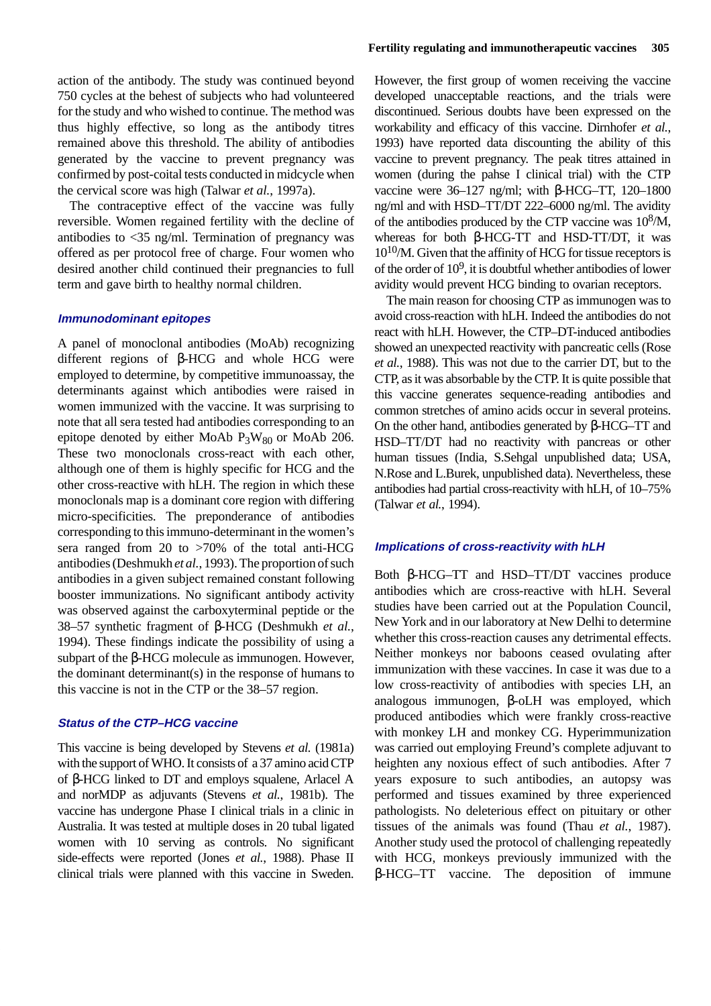action of the antibody. The study was continued beyond 750 cycles at the behest of subjects who had volunteered for the study and who wished to continue. The method was thus highly effective, so long as the antibody titres remained above this threshold. The ability of antibodies generated by the vaccine to prevent pregnancy was confirmed by post-coital tests conducted in midcycle when the cervical score was high (Talwar *et al.*, 1997a).

The contraceptive effect of the vaccine was fully reversible. Women regained fertility with the decline of antibodies to <35 ng/ml. Termination of pregnancy was offered as per protocol free of charge. Four women who desired another child continued their pregnancies to full term and gave birth to healthy normal children.

#### **Immunodominant epitopes**

A panel of monoclonal antibodies (MoAb) recognizing different regions of β-HCG and whole HCG were employed to determine, by competitive immunoassay, the determinants against which antibodies were raised in women immunized with the vaccine. It was surprising to note that all sera tested had antibodies corresponding to an epitope denoted by either MoAb  $P_3W_{80}$  or MoAb 206. These two monoclonals cross-react with each other, although one of them is highly specific for HCG and the other cross-reactive with hLH. The region in which these monoclonals map is a dominant core region with differing micro-specificities. The preponderance of antibodies corresponding to this immuno-determinant in the women's sera ranged from 20 to >70% of the total anti-HCG antibodies (Deshmukh *et al.*, 1993). The proportion of such antibodies in a given subject remained constant following booster immunizations. No significant antibody activity was observed against the carboxyterminal peptide or the 38–57 synthetic fragment of β-HCG (Deshmukh *et al.*, 1994). These findings indicate the possibility of using a subpart of the β-HCG molecule as immunogen. However, the dominant determinant(s) in the response of humans to this vaccine is not in the CTP or the 38–57 region.

#### **Status of the CTP–HCG vaccine**

This vaccine is being developed by Stevens *et al.* (1981a) with the support of WHO. It consists of a 37 amino acid CTP of β-HCG linked to DT and employs squalene, Arlacel A and norMDP as adjuvants (Stevens *et al.*, 1981b). The vaccine has undergone Phase I clinical trials in a clinic in Australia. It was tested at multiple doses in 20 tubal ligated women with 10 serving as controls. No significant side-effects were reported (Jones *et al.*, 1988). Phase II clinical trials were planned with this vaccine in Sweden. However, the first group of women receiving the vaccine developed unacceptable reactions, and the trials were discontinued. Serious doubts have been expressed on the workability and efficacy of this vaccine. Dirnhofer *et al.*, 1993) have reported data discounting the ability of this vaccine to prevent pregnancy. The peak titres attained in women (during the pahse I clinical trial) with the CTP vaccine were 36–127 ng/ml; with β-HCG–TT, 120–1800 ng/ml and with HSD–TT/DT 222–6000 ng/ml. The avidity of the antibodies produced by the CTP vaccine was  $10<sup>8</sup>/M$ , whereas for both β-HCG-TT and HSD-TT/DT, it was  $10^{10}$ /M. Given that the affinity of HCG for tissue receptors is of the order of  $10^9$ , it is doubtful whether antibodies of lower avidity would prevent HCG binding to ovarian receptors.

The main reason for choosing CTP as immunogen was to avoid cross-reaction with hLH. Indeed the antibodies do not react with hLH. However, the CTP–DT-induced antibodies showed an unexpected reactivity with pancreatic cells (Rose *et al.*, 1988). This was not due to the carrier DT, but to the CTP, as it was absorbable by the CTP. It is quite possible that this vaccine generates sequence-reading antibodies and common stretches of amino acids occur in several proteins. On the other hand, antibodies generated by β-HCG–TT and HSD–TT/DT had no reactivity with pancreas or other human tissues (India, S.Sehgal unpublished data; USA, N.Rose and L.Burek, unpublished data). Nevertheless, these antibodies had partial cross-reactivity with hLH, of 10–75% (Talwar *et al.*, 1994).

#### **Implications of cross-reactivity with hLH**

Both β-HCG–TT and HSD–TT/DT vaccines produce antibodies which are cross-reactive with hLH. Several studies have been carried out at the Population Council, New York and in our laboratory at New Delhi to determine whether this cross-reaction causes any detrimental effects. Neither monkeys nor baboons ceased ovulating after immunization with these vaccines. In case it was due to a low cross-reactivity of antibodies with species LH, an analogous immunogen, β-oLH was employed, which produced antibodies which were frankly cross-reactive with monkey LH and monkey CG. Hyperimmunization was carried out employing Freund's complete adjuvant to heighten any noxious effect of such antibodies. After 7 years exposure to such antibodies, an autopsy was performed and tissues examined by three experienced pathologists. No deleterious effect on pituitary or other tissues of the animals was found (Thau *et al.*, 1987). Another study used the protocol of challenging repeatedly with HCG, monkeys previously immunized with the β-HCG–TT vaccine. The deposition of immune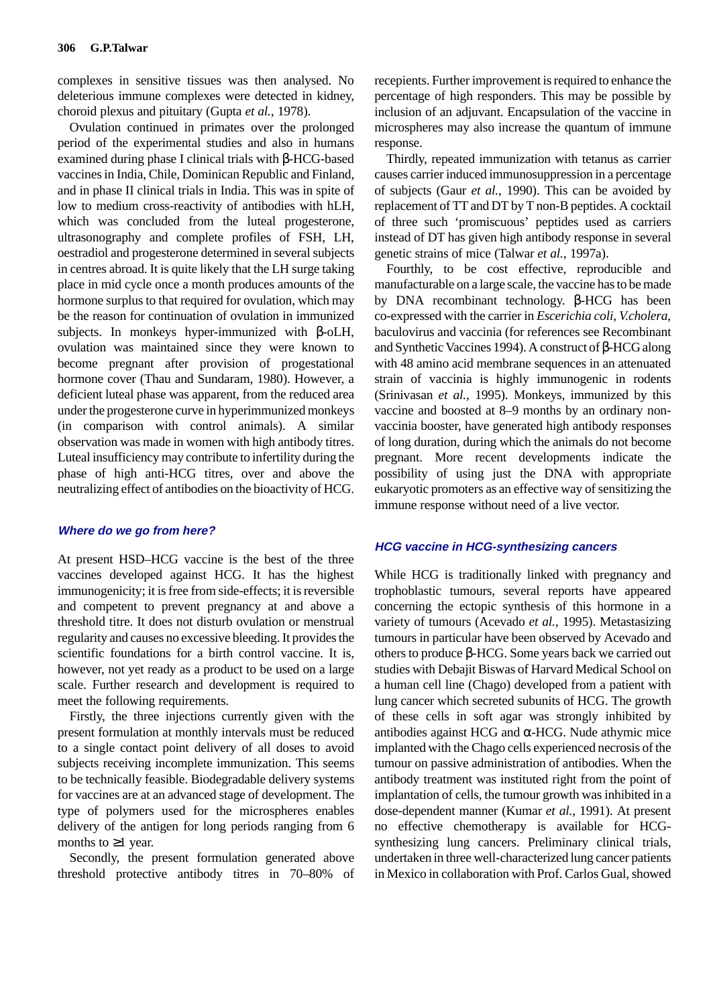complexes in sensitive tissues was then analysed. No deleterious immune complexes were detected in kidney, choroid plexus and pituitary (Gupta *et al.*, 1978).

Ovulation continued in primates over the prolonged period of the experimental studies and also in humans examined during phase I clinical trials with β-HCG-based vaccines in India, Chile, Dominican Republic and Finland, and in phase II clinical trials in India. This was in spite of low to medium cross-reactivity of antibodies with hLH, which was concluded from the luteal progesterone, ultrasonography and complete profiles of FSH, LH, oestradiol and progesterone determined in several subjects in centres abroad. It is quite likely that the LH surge taking place in mid cycle once a month produces amounts of the hormone surplus to that required for ovulation, which may be the reason for continuation of ovulation in immunized subjects. In monkeys hyper-immunized with β-oLH, ovulation was maintained since they were known to become pregnant after provision of progestational hormone cover (Thau and Sundaram, 1980). However, a deficient luteal phase was apparent, from the reduced area under the progesterone curve in hyperimmunized monkeys (in comparison with control animals). A similar observation was made in women with high antibody titres. Luteal insufficiency may contribute to infertility during the phase of high anti-HCG titres, over and above the neutralizing effect of antibodies on the bioactivity of HCG.

#### **Where do we go from here?**

At present HSD–HCG vaccine is the best of the three vaccines developed against HCG. It has the highest immunogenicity; it is free from side-effects; it is reversible and competent to prevent pregnancy at and above a threshold titre. It does not disturb ovulation or menstrual regularity and causes no excessive bleeding. It provides the scientific foundations for a birth control vaccine. It is, however, not yet ready as a product to be used on a large scale. Further research and development is required to meet the following requirements.

Firstly, the three injections currently given with the present formulation at monthly intervals must be reduced to a single contact point delivery of all doses to avoid subjects receiving incomplete immunization. This seems to be technically feasible. Biodegradable delivery systems for vaccines are at an advanced stage of development. The type of polymers used for the microspheres enables delivery of the antigen for long periods ranging from 6 months to  $\geq 1$  year.

Secondly, the present formulation generated above threshold protective antibody titres in 70–80% of recepients. Further improvement is required to enhance the percentage of high responders. This may be possible by inclusion of an adjuvant. Encapsulation of the vaccine in microspheres may also increase the quantum of immune response.

Thirdly, repeated immunization with tetanus as carrier causes carrier induced immunosuppression in a percentage of subjects (Gaur *et al.*, 1990). This can be avoided by replacement of TT and DT by T non-B peptides. A cocktail of three such 'promiscuous' peptides used as carriers instead of DT has given high antibody response in several genetic strains of mice (Talwar *et al.*, 1997a).

Fourthly, to be cost effective, reproducible and manufacturable on a large scale, the vaccine has to be made by DNA recombinant technology. β-HCG has been co-expressed with the carrier in *Escerichia coli*, *V.cholera*, baculovirus and vaccinia (for references see Recombinant and Synthetic Vaccines 1994). A construct of β-HCG along with 48 amino acid membrane sequences in an attenuated strain of vaccinia is highly immunogenic in rodents (Srinivasan *et al.*, 1995). Monkeys, immunized by this vaccine and boosted at 8–9 months by an ordinary nonvaccinia booster, have generated high antibody responses of long duration, during which the animals do not become pregnant. More recent developments indicate the possibility of using just the DNA with appropriate eukaryotic promoters as an effective way of sensitizing the immune response without need of a live vector.

#### **HCG vaccine in HCG-synthesizing cancers**

While HCG is traditionally linked with pregnancy and trophoblastic tumours, several reports have appeared concerning the ectopic synthesis of this hormone in a variety of tumours (Acevado *et al.*, 1995). Metastasizing tumours in particular have been observed by Acevado and others to produce β-HCG. Some years back we carried out studies with Debajit Biswas of Harvard Medical School on a human cell line (Chago) developed from a patient with lung cancer which secreted subunits of HCG. The growth of these cells in soft agar was strongly inhibited by antibodies against HCG and  $\alpha$ -HCG. Nude athymic mice implanted with the Chago cells experienced necrosis of the tumour on passive administration of antibodies. When the antibody treatment was instituted right from the point of implantation of cells, the tumour growth was inhibited in a dose-dependent manner (Kumar *et al.*, 1991). At present no effective chemotherapy is available for HCGsynthesizing lung cancers. Preliminary clinical trials, undertaken in three well-characterized lung cancer patients in Mexico in collaboration with Prof. Carlos Gual, showed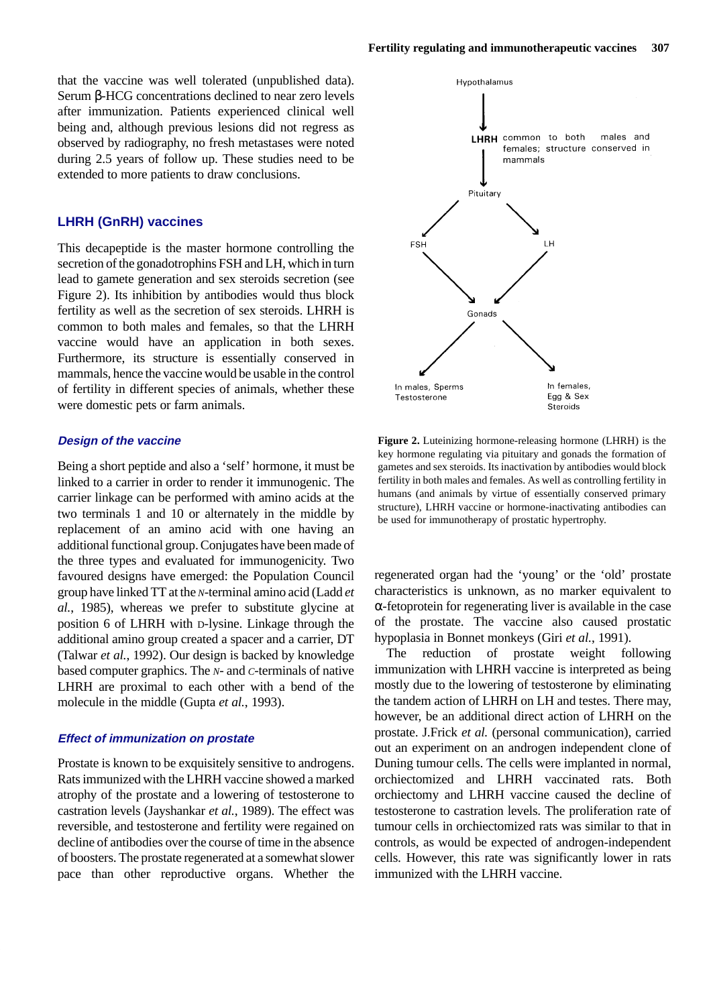that the vaccine was well tolerated (unpublished data). Serum β-HCG concentrations declined to near zero levels after immunization. Patients experienced clinical well being and, although previous lesions did not regress as observed by radiography, no fresh metastases were noted during 2.5 years of follow up. These studies need to be extended to more patients to draw conclusions.

## **LHRH (GnRH) vaccines**

This decapeptide is the master hormone controlling the secretion of the gonadotrophins FSH and LH, which in turn lead to gamete generation and sex steroids secretion (see Figure 2). Its inhibition by antibodies would thus block fertility as well as the secretion of sex steroids. LHRH is common to both males and females, so that the LHRH vaccine would have an application in both sexes. Furthermore, its structure is essentially conserved in mammals, hence the vaccine would be usable in the control of fertility in different species of animals, whether these were domestic pets or farm animals.

#### **Design of the vaccine**

Being a short peptide and also a 'self' hormone, it must be linked to a carrier in order to render it immunogenic. The carrier linkage can be performed with amino acids at the two terminals 1 and 10 or alternately in the middle by replacement of an amino acid with one having an additional functional group. Conjugates have been made of the three types and evaluated for immunogenicity. Two favoured designs have emerged: the Population Council group have linked TT at the *N*-terminal amino acid (Ladd *et al.*, 1985), whereas we prefer to substitute glycine at position 6 of LHRH with D-lysine. Linkage through the additional amino group created a spacer and a carrier, DT (Talwar *et al.*, 1992). Our design is backed by knowledge based computer graphics. The *N*- and *C*-terminals of native LHRH are proximal to each other with a bend of the molecule in the middle (Gupta *et al.*, 1993).

#### **Effect of immunization on prostate**

Prostate is known to be exquisitely sensitive to androgens. Rats immunized with the LHRH vaccine showed a marked atrophy of the prostate and a lowering of testosterone to castration levels (Jayshankar *et al.*, 1989). The effect was reversible, and testosterone and fertility were regained on decline of antibodies over the course of time in the absence of boosters. The prostate regenerated at a somewhat slower pace than other reproductive organs. Whether the



**Figure 2.** Luteinizing hormone-releasing hormone (LHRH) is the key hormone regulating via pituitary and gonads the formation of gametes and sex steroids. Its inactivation by antibodies would block fertility in both males and females. As well as controlling fertility in humans (and animals by virtue of essentially conserved primary structure), LHRH vaccine or hormone-inactivating antibodies can be used for immunotherapy of prostatic hypertrophy.

regenerated organ had the 'young' or the 'old' prostate characteristics is unknown, as no marker equivalent to α-fetoprotein for regenerating liver is available in the case of the prostate. The vaccine also caused prostatic hypoplasia in Bonnet monkeys (Giri *et al.*, 1991).

The reduction of prostate weight following immunization with LHRH vaccine is interpreted as being mostly due to the lowering of testosterone by eliminating the tandem action of LHRH on LH and testes. There may, however, be an additional direct action of LHRH on the prostate. J.Frick *et al.* (personal communication), carried out an experiment on an androgen independent clone of Duning tumour cells. The cells were implanted in normal, orchiectomized and LHRH vaccinated rats. Both orchiectomy and LHRH vaccine caused the decline of testosterone to castration levels. The proliferation rate of tumour cells in orchiectomized rats was similar to that in controls, as would be expected of androgen-independent cells. However, this rate was significantly lower in rats immunized with the LHRH vaccine.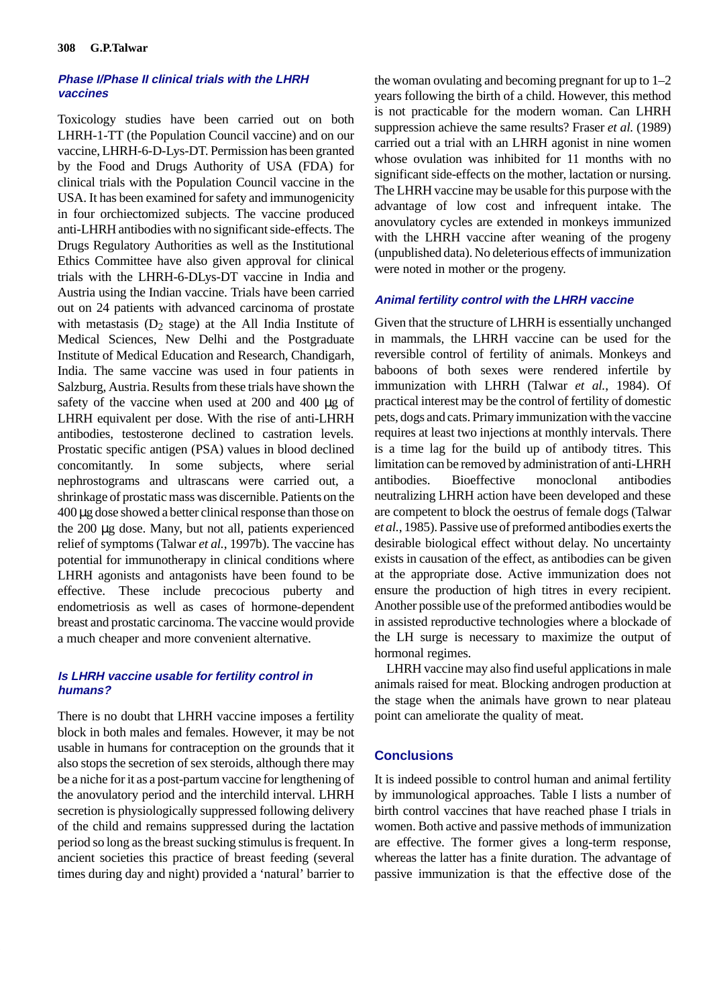# **Phase I/Phase II clinical trials with the LHRH vaccines**

Toxicology studies have been carried out on both LHRH-1-TT (the Population Council vaccine) and on our vaccine, LHRH-6-D-Lys-DT. Permission has been granted by the Food and Drugs Authority of USA (FDA) for clinical trials with the Population Council vaccine in the USA. It has been examined for safety and immunogenicity in four orchiectomized subjects. The vaccine produced anti-LHRH antibodies with no significant side-effects. The Drugs Regulatory Authorities as well as the Institutional Ethics Committee have also given approval for clinical trials with the LHRH-6-DLys-DT vaccine in India and Austria using the Indian vaccine. Trials have been carried out on 24 patients with advanced carcinoma of prostate with metastasis  $(D_2 \text{ stage})$  at the All India Institute of Medical Sciences, New Delhi and the Postgraduate Institute of Medical Education and Research, Chandigarh, India. The same vaccine was used in four patients in Salzburg, Austria. Results from these trials have shown the safety of the vaccine when used at 200 and 400 µg of LHRH equivalent per dose. With the rise of anti-LHRH antibodies, testosterone declined to castration levels. Prostatic specific antigen (PSA) values in blood declined concomitantly. In some subjects, where serial nephrostograms and ultrascans were carried out, a shrinkage of prostatic mass was discernible. Patients on the 400 µg dose showed a better clinical response than those on the 200 µg dose. Many, but not all, patients experienced relief of symptoms (Talwar *et al.*, 1997b). The vaccine has potential for immunotherapy in clinical conditions where LHRH agonists and antagonists have been found to be effective. These include precocious puberty and endometriosis as well as cases of hormone-dependent breast and prostatic carcinoma. The vaccine would provide a much cheaper and more convenient alternative.

## **Is LHRH vaccine usable for fertility control in humans?**

There is no doubt that LHRH vaccine imposes a fertility block in both males and females. However, it may be not usable in humans for contraception on the grounds that it also stops the secretion of sex steroids, although there may be a niche for it as a post-partum vaccine for lengthening of the anovulatory period and the interchild interval. LHRH secretion is physiologically suppressed following delivery of the child and remains suppressed during the lactation period so long as the breast sucking stimulus is frequent. In ancient societies this practice of breast feeding (several times during day and night) provided a 'natural' barrier to the woman ovulating and becoming pregnant for up to  $1-2$ years following the birth of a child. However, this method is not practicable for the modern woman. Can LHRH suppression achieve the same results? Fraser *et al.* (1989) carried out a trial with an LHRH agonist in nine women whose ovulation was inhibited for 11 months with no significant side-effects on the mother, lactation or nursing. The LHRH vaccine may be usable for this purpose with the advantage of low cost and infrequent intake. The anovulatory cycles are extended in monkeys immunized with the LHRH vaccine after weaning of the progeny (unpublished data). No deleterious effects of immunization were noted in mother or the progeny.

## **Animal fertility control with the LHRH vaccine**

Given that the structure of LHRH is essentially unchanged in mammals, the LHRH vaccine can be used for the reversible control of fertility of animals. Monkeys and baboons of both sexes were rendered infertile by immunization with LHRH (Talwar *et al.*, 1984). Of practical interest may be the control of fertility of domestic pets, dogs and cats. Primary immunization with the vaccine requires at least two injections at monthly intervals. There is a time lag for the build up of antibody titres. This limitation can be removed by administration of anti-LHRH antibodies. Bioeffective monoclonal antibodies neutralizing LHRH action have been developed and these are competent to block the oestrus of female dogs (Talwar *et al.*, 1985). Passive use of preformed antibodies exerts the desirable biological effect without delay. No uncertainty exists in causation of the effect, as antibodies can be given at the appropriate dose. Active immunization does not ensure the production of high titres in every recipient. Another possible use of the preformed antibodies would be in assisted reproductive technologies where a blockade of the LH surge is necessary to maximize the output of hormonal regimes.

LHRH vaccine may also find useful applications in male animals raised for meat. Blocking androgen production at the stage when the animals have grown to near plateau point can ameliorate the quality of meat.

# **Conclusions**

It is indeed possible to control human and animal fertility by immunological approaches. Table I lists a number of birth control vaccines that have reached phase I trials in women. Both active and passive methods of immunization are effective. The former gives a long-term response, whereas the latter has a finite duration. The advantage of passive immunization is that the effective dose of the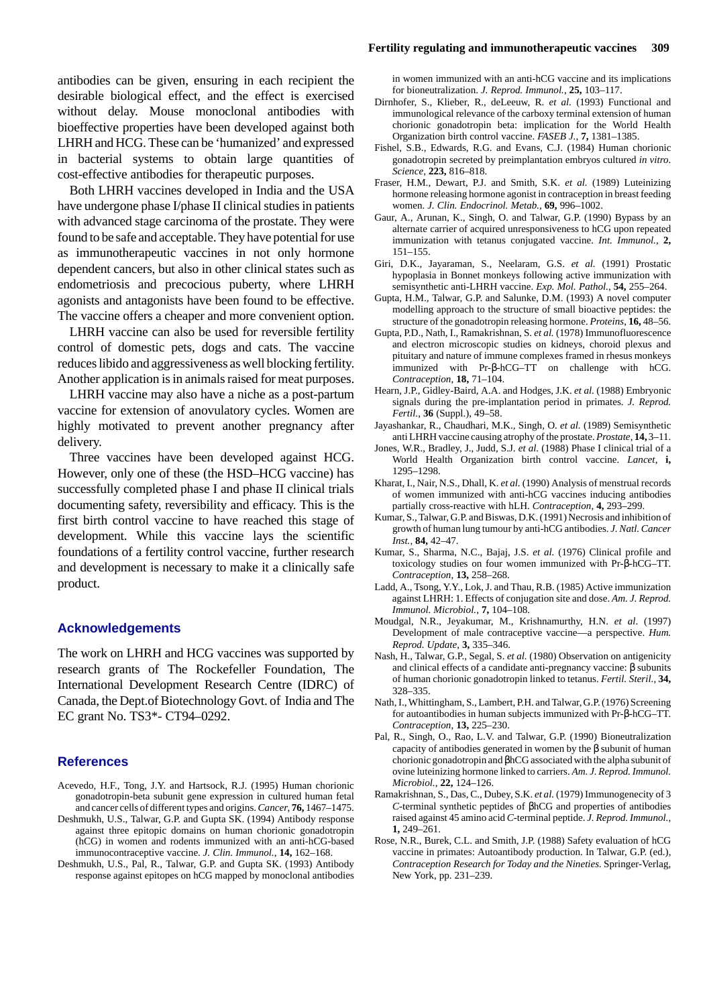#### **Fertility regulating and immunotherapeutic vaccines 309**

antibodies can be given, ensuring in each recipient the desirable biological effect, and the effect is exercised without delay. Mouse monoclonal antibodies with bioeffective properties have been developed against both LHRH and HCG. These can be 'humanized' and expressed in bacterial systems to obtain large quantities of cost-effective antibodies for therapeutic purposes.

Both LHRH vaccines developed in India and the USA have undergone phase I/phase II clinical studies in patients with advanced stage carcinoma of the prostate. They were found to be safe and acceptable. They have potential for use as immunotherapeutic vaccines in not only hormone dependent cancers, but also in other clinical states such as endometriosis and precocious puberty, where LHRH agonists and antagonists have been found to be effective. The vaccine offers a cheaper and more convenient option.

LHRH vaccine can also be used for reversible fertility control of domestic pets, dogs and cats. The vaccine reduces libido and aggressiveness as well blocking fertility. Another application is in animals raised for meat purposes.

LHRH vaccine may also have a niche as a post-partum vaccine for extension of anovulatory cycles. Women are highly motivated to prevent another pregnancy after delivery.

Three vaccines have been developed against HCG. However, only one of these (the HSD–HCG vaccine) has successfully completed phase I and phase II clinical trials documenting safety, reversibility and efficacy. This is the first birth control vaccine to have reached this stage of development. While this vaccine lays the scientific foundations of a fertility control vaccine, further research and development is necessary to make it a clinically safe product.

#### **Acknowledgements**

The work on LHRH and HCG vaccines was supported by research grants of The Rockefeller Foundation, The International Development Research Centre (IDRC) of Canada, the Dept.of Biotechnology Govt. of India and The EC grant No. TS3\*- CT94–0292.

#### **References**

- Acevedo, H.F., Tong, J.Y. and Hartsock, R.J. (1995) Human chorionic gonadotropin-beta subunit gene expression in cultured human fetal and cancer cells of different types and origins. *Cancer*, **76,** 1467–1475.
- Deshmukh, U.S., Talwar, G.P. and Gupta SK. (1994) Antibody response against three epitopic domains on human chorionic gonadotropin (hCG) in women and rodents immunized with an anti-hCG-based immunocontraceptive vaccine. *J. Clin. Immunol.*, **14,** 162–168.
- Deshmukh, U.S., Pal, R., Talwar, G.P. and Gupta SK. (1993) Antibody response against epitopes on hCG mapped by monoclonal antibodies

in women immunized with an anti-hCG vaccine and its implications for bioneutralization. *J. Reprod. Immunol.*, **25,** 103–117.

- Dirnhofer, S., Klieber, R., deLeeuw, R. *et al.* (1993) Functional and immunological relevance of the carboxy terminal extension of human chorionic gonadotropin beta: implication for the World Health Organization birth control vaccine. *FASEB J.*, **7,** 1381–1385.
- Fishel, S.B., Edwards, R.G. and Evans, C.J. (1984) Human chorionic gonadotropin secreted by preimplantation embryos cultured *in vitro*. *Science*, **223,** 816–818.
- Fraser, H.M., Dewart, P.J. and Smith, S.K. *et al.* (1989) Luteinizing hormone releasing hormone agonist in contraception in breast feeding women. *J. Clin. Endocrinol. Metab.*, **69,** 996–1002.
- Gaur, A., Arunan, K., Singh, O. and Talwar, G.P. (1990) Bypass by an alternate carrier of acquired unresponsiveness to hCG upon repeated immunization with tetanus conjugated vaccine. *Int. Immunol.*, **2,** 151–155.
- Giri, D.K., Jayaraman, S., Neelaram, G.S. *et al.* (1991) Prostatic hypoplasia in Bonnet monkeys following active immunization with semisynthetic anti-LHRH vaccine. *Exp. Mol. Pathol.*, **54,** 255–264.
- Gupta, H.M., Talwar, G.P. and Salunke, D.M. (1993) A novel computer modelling approach to the structure of small bioactive peptides: the structure of the gonadotropin releasing hormone. *Proteins*, **16,** 48–56.
- Gupta, P.D., Nath, I., Ramakrishnan, S. *et al.* (1978) Immunofluorescence and electron microscopic studies on kidneys, choroid plexus and pituitary and nature of immune complexes framed in rhesus monkeys immunized with Pr-β-hCG–TT on challenge with hCG. *Contraception*, **18,** 71–104.
- Hearn, J.P., Gidley-Baird, A.A. and Hodges, J.K. *et al.* (1988) Embryonic signals during the pre-implantation period in primates. *J. Reprod. Fertil.*, **36** (Suppl.), 49–58.
- Jayashankar, R., Chaudhari, M.K., Singh, O. *et al.* (1989) Semisynthetic anti LHRH vaccine causing atrophy of the prostate. *Prostate*, **14,** 3–11.
- Jones, W.R., Bradley, J., Judd, S.J. *et al.* (1988) Phase I clinical trial of a World Health Organization birth control vaccine. *Lancet*, **i,** 1295–1298.
- Kharat, I., Nair, N.S., Dhall, K. *et al.* (1990) Analysis of menstrual records of women immunized with anti-hCG vaccines inducing antibodies partially cross-reactive with hLH. *Contraception*, **4,** 293–299.
- Kumar, S., Talwar, G.P. and Biswas, D.K. (1991) Necrosis and inhibition of growth of human lung tumour by anti-hCG antibodies. *J. Natl. Cancer Inst.*, **84,** 42–47.
- Kumar, S., Sharma, N.C., Bajaj, J.S. *et al.* (1976) Clinical profile and toxicology studies on four women immunized with Pr-β-hCG–TT. *Contraception*, **13,** 258–268.
- Ladd, A., Tsong, Y.Y., Lok, J. and Thau, R.B. (1985) Active immunization against LHRH: 1. Effects of conjugation site and dose. *Am. J. Reprod. Immunol. Microbiol.*, **7,** 104–108.
- Moudgal, N.R., Jeyakumar, M., Krishnamurthy, H.N. *et al*. (1997) Development of male contraceptive vaccine—a perspective. *Hum. Reprod. Update*, **3,** 335–346.
- Nash, H., Talwar, G.P., Segal, S. *et al.* (1980) Observation on antigenicity and clinical effects of a candidate anti-pregnancy vaccine: β subunits of human chorionic gonadotropin linked to tetanus. *Fertil. Steril.*, **34,** 328–335.
- Nath, I., Whittingham, S., Lambert, P.H. and Talwar, G.P. (1976) Screening for autoantibodies in human subjects immunized with Pr-β-hCG–TT. *Contraception*, **13,** 225–230.
- Pal, R., Singh, O., Rao, L.V. and Talwar, G.P. (1990) Bioneutralization capacity of antibodies generated in women by the  $\beta$  subunit of human chorionic gonadotropin and βhCG associated with the alpha subunit of ovine luteinizing hormone linked to carriers. *Am. J. Reprod. Immunol. Microbiol.*, **22,** 124–126.
- Ramakrishnan, S., Das, C., Dubey, S.K. *et al.* (1979) Immunogenecity of 3 *C*-terminal synthetic peptides of βhCG and properties of antibodies raised against 45 amino acid *C*-terminal peptide. *J. Reprod. Immunol.*, **1,** 249–261.
- Rose, N.R., Burek, C.L. and Smith, J.P. (1988) Safety evaluation of hCG vaccine in primates: Autoantibody production. In Talwar, G.P. (ed.), *Contraception Research for Today and the Nineties.* Springer-Verlag, New York, pp. 231–239.